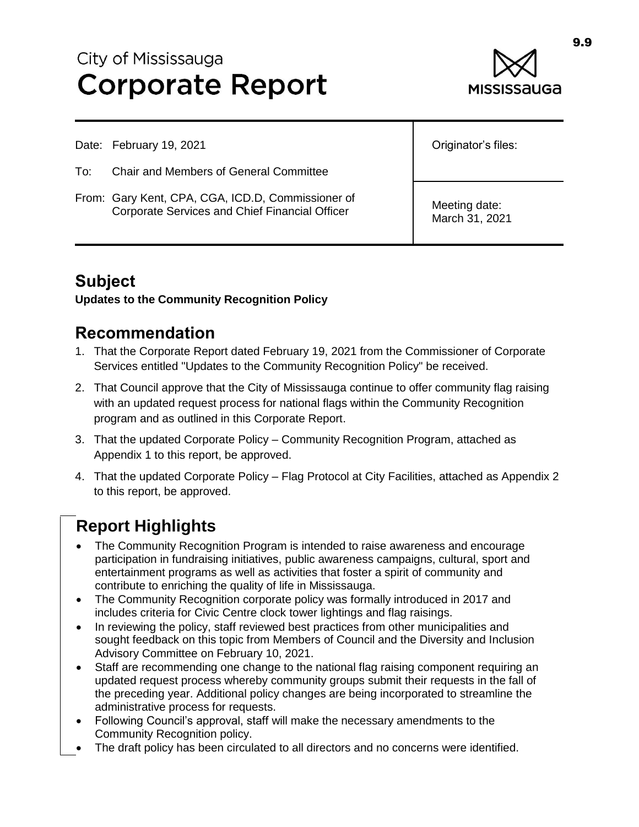# City of Mississauga **Corporate Report**



Date: February 19, 2021

- To: Chair and Members of General Committee
- From: Gary Kent, CPA, CGA, ICD.D, Commissioner of Corporate Services and Chief Financial Officer

Originator's files:

Meeting date: March 31, 2021

# **Subject**

**Updates to the Community Recognition Policy**

# **Recommendation**

- 1. That the Corporate Report dated February 19, 2021 from the Commissioner of Corporate Services entitled "Updates to the Community Recognition Policy" be received.
- 2. That Council approve that the City of Mississauga continue to offer community flag raising with an updated request process for national flags within the Community Recognition program and as outlined in this Corporate Report.
- 3. That the updated Corporate Policy Community Recognition Program, attached as Appendix 1 to this report, be approved.
- 4. That the updated Corporate Policy Flag Protocol at City Facilities, attached as Appendix 2 to this report, be approved.

# **Report Highlights**

- The Community Recognition Program is intended to raise awareness and encourage participation in fundraising initiatives, public awareness campaigns, cultural, sport and entertainment programs as well as activities that foster a spirit of community and contribute to enriching the quality of life in Mississauga.
- The Community Recognition corporate policy was formally introduced in 2017 and includes criteria for Civic Centre clock tower lightings and flag raisings.
- In reviewing the policy, staff reviewed best practices from other municipalities and sought feedback on this topic from Members of Council and the Diversity and Inclusion Advisory Committee on February 10, 2021.
- Staff are recommending one change to the national flag raising component requiring an updated request process whereby community groups submit their requests in the fall of the preceding year. Additional policy changes are being incorporated to streamline the administrative process for requests.
- Following Council's approval, staff will make the necessary amendments to the Community Recognition policy.
- The draft policy has been circulated to all directors and no concerns were identified.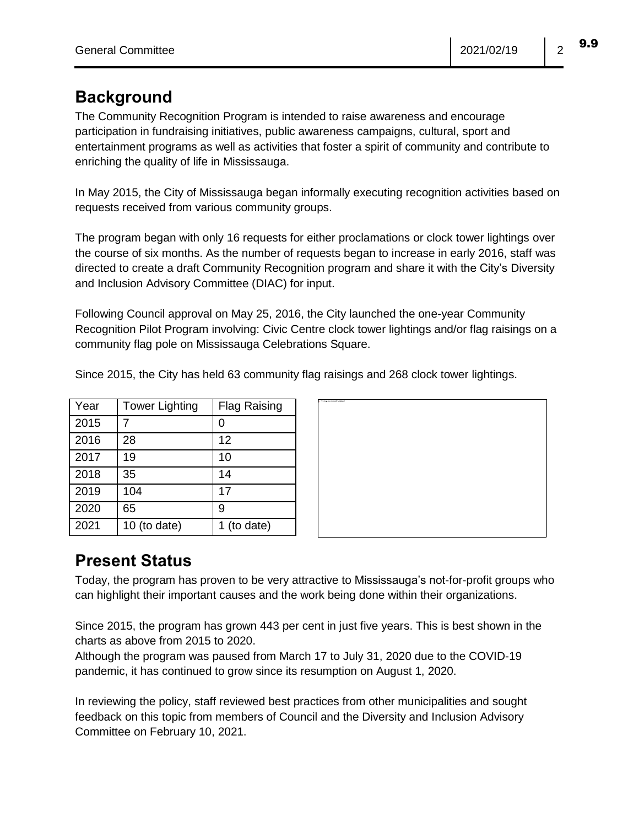# **Background**

The Community Recognition Program is intended to raise awareness and encourage participation in fundraising initiatives, public awareness campaigns, cultural, sport and entertainment programs as well as activities that foster a spirit of community and contribute to enriching the quality of life in Mississauga.

In May 2015, the City of Mississauga began informally executing recognition activities based on requests received from various community groups.

The program began with only 16 requests for either proclamations or clock tower lightings over the course of six months. As the number of requests began to increase in early 2016, staff was directed to create a draft Community Recognition program and share it with the City's Diversity and Inclusion Advisory Committee (DIAC) for input.

Following Council approval on May 25, 2016, the City launched the one-year Community Recognition Pilot Program involving: Civic Centre clock tower lightings and/or flag raisings on a community flag pole on Mississauga Celebrations Square.

| Year | <b>Tower Lighting</b> | <b>Flag Raising</b> |
|------|-----------------------|---------------------|
| 2015 |                       |                     |
| 2016 | 28                    | 12                  |
| 2017 | 19                    | 10                  |
| 2018 | 35                    | 14                  |
| 2019 | 104                   | 17                  |
| 2020 | 65                    | 9                   |
| 2021 | 10 (to date)          | 1 (to date)         |



### Since 2015, the City has held 63 community flag raisings and 268 clock tower lightings.

### **Present Status**

Today, the program has proven to be very attractive to Mississauga's not-for-profit groups who can highlight their important causes and the work being done within their organizations.

Since 2015, the program has grown 443 per cent in just five years. This is best shown in the charts as above from 2015 to 2020.

Although the program was paused from March 17 to July 31, 2020 due to the COVID-19 pandemic, it has continued to grow since its resumption on August 1, 2020.

In reviewing the policy, staff reviewed best practices from other municipalities and sought feedback on this topic from members of Council and the Diversity and Inclusion Advisory Committee on February 10, 2021.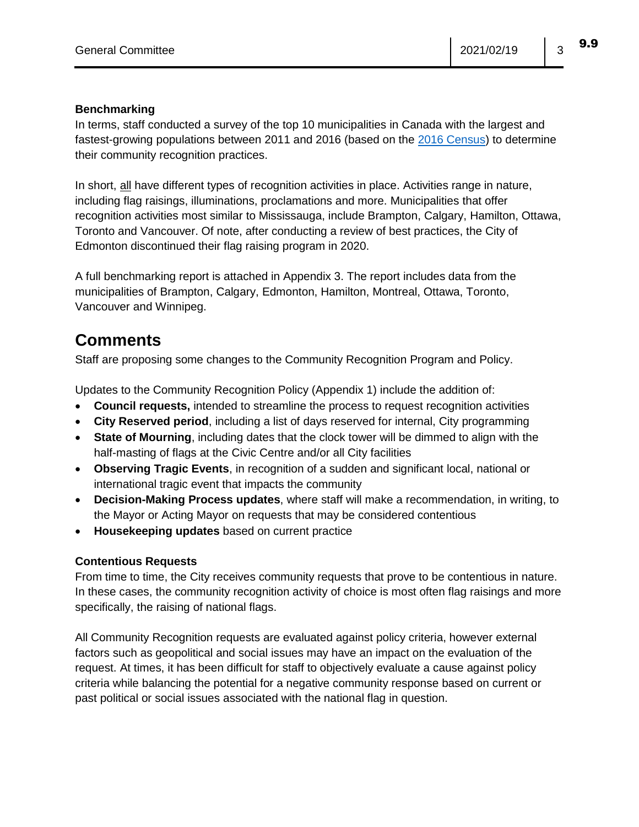#### **Benchmarking**

In terms, staff conducted a survey of the top 10 municipalities in Canada with the largest and fastest-growing populations between 2011 and 2016 (based on the [2016 Census\)](https://www12.statcan.gc.ca/census-recensement/2016/as-sa/98-200-x/2016001/98-200-x2016001-eng.cfm) to determine their community recognition practices.

In short, all have different types of recognition activities in place. Activities range in nature, including flag raisings, illuminations, proclamations and more. Municipalities that offer recognition activities most similar to Mississauga, include Brampton, Calgary, Hamilton, Ottawa, Toronto and Vancouver. Of note, after conducting a review of best practices, the City of Edmonton discontinued their flag raising program in 2020.

A full benchmarking report is attached in Appendix 3. The report includes data from the municipalities of Brampton, Calgary, Edmonton, Hamilton, Montreal, Ottawa, Toronto, Vancouver and Winnipeg.

### **Comments**

Staff are proposing some changes to the Community Recognition Program and Policy.

Updates to the Community Recognition Policy (Appendix 1) include the addition of:

- **Council requests,** intended to streamline the process to request recognition activities
- **City Reserved period**, including a list of days reserved for internal, City programming
- **State of Mourning**, including dates that the clock tower will be dimmed to align with the half-masting of flags at the Civic Centre and/or all City facilities
- **Observing Tragic Events**, in recognition of a sudden and significant local, national or international tragic event that impacts the community
- **Decision-Making Process updates**, where staff will make a recommendation, in writing, to the Mayor or Acting Mayor on requests that may be considered contentious
- **Housekeeping updates** based on current practice

#### **Contentious Requests**

From time to time, the City receives community requests that prove to be contentious in nature. In these cases, the community recognition activity of choice is most often flag raisings and more specifically, the raising of national flags.

All Community Recognition requests are evaluated against policy criteria, however external factors such as geopolitical and social issues may have an impact on the evaluation of the request. At times, it has been difficult for staff to objectively evaluate a cause against policy criteria while balancing the potential for a negative community response based on current or past political or social issues associated with the national flag in question.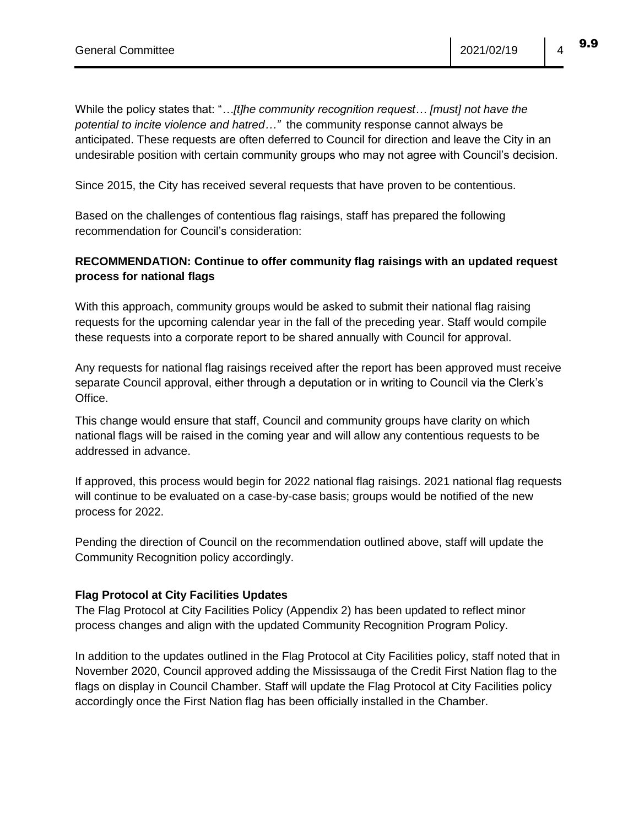While the policy states that: "*…[t]he community recognition request… [must] not have the potential to incite violence and hatred…"* the community response cannot always be anticipated. These requests are often deferred to Council for direction and leave the City in an undesirable position with certain community groups who may not agree with Council's decision.

Since 2015, the City has received several requests that have proven to be contentious.

Based on the challenges of contentious flag raisings, staff has prepared the following recommendation for Council's consideration:

### **RECOMMENDATION: Continue to offer community flag raisings with an updated request process for national flags**

With this approach, community groups would be asked to submit their national flag raising requests for the upcoming calendar year in the fall of the preceding year. Staff would compile these requests into a corporate report to be shared annually with Council for approval.

Any requests for national flag raisings received after the report has been approved must receive separate Council approval, either through a deputation or in writing to Council via the Clerk's Office.

This change would ensure that staff, Council and community groups have clarity on which national flags will be raised in the coming year and will allow any contentious requests to be addressed in advance.

If approved, this process would begin for 2022 national flag raisings. 2021 national flag requests will continue to be evaluated on a case-by-case basis; groups would be notified of the new process for 2022.

Pending the direction of Council on the recommendation outlined above, staff will update the Community Recognition policy accordingly.

#### **Flag Protocol at City Facilities Updates**

The Flag Protocol at City Facilities Policy (Appendix 2) has been updated to reflect minor process changes and align with the updated Community Recognition Program Policy.

In addition to the updates outlined in the Flag Protocol at City Facilities policy, staff noted that in November 2020, Council approved adding the Mississauga of the Credit First Nation flag to the flags on display in Council Chamber. Staff will update the Flag Protocol at City Facilities policy accordingly once the First Nation flag has been officially installed in the Chamber.